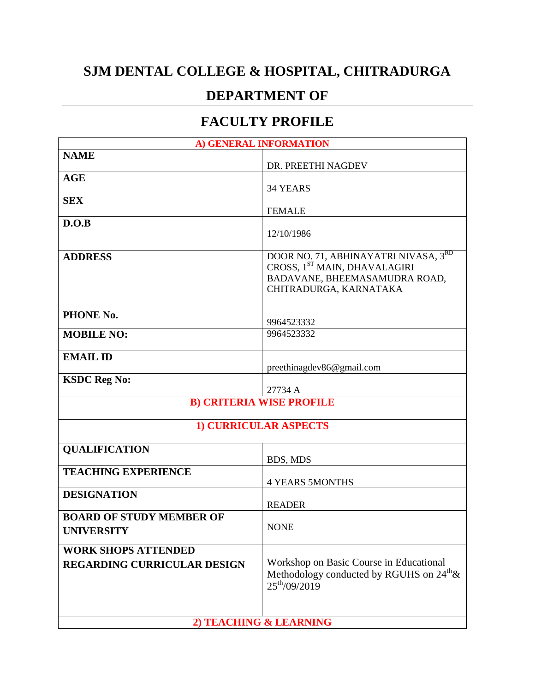## **SJM DENTAL COLLEGE & HOSPITAL, CHITRADURGA**

## **DEPARTMENT OF**

## **FACULTY PROFILE**

| A) GENERAL INFORMATION                                           |                                                                                                                                 |
|------------------------------------------------------------------|---------------------------------------------------------------------------------------------------------------------------------|
| <b>NAME</b>                                                      | DR. PREETHI NAGDEV                                                                                                              |
| <b>AGE</b>                                                       | 34 YEARS                                                                                                                        |
| <b>SEX</b>                                                       | <b>FEMALE</b>                                                                                                                   |
| D.O.B                                                            | 12/10/1986                                                                                                                      |
| <b>ADDRESS</b>                                                   | DOOR NO. 71, ABHINAYATRI NIVASA, 3RD<br>CROSS, 1ST MAIN, DHAVALAGIRI<br>BADAVANE, BHEEMASAMUDRA ROAD,<br>CHITRADURGA, KARNATAKA |
| PHONE No.                                                        | 9964523332                                                                                                                      |
| <b>MOBILE NO:</b>                                                | 9964523332                                                                                                                      |
| <b>EMAIL ID</b>                                                  | preethinagdev86@gmail.com                                                                                                       |
| <b>KSDC Reg No:</b>                                              | 27734 A                                                                                                                         |
| <b>B) CRITERIA WISE PROFILE</b>                                  |                                                                                                                                 |
| <b>1) CURRICULAR ASPECTS</b>                                     |                                                                                                                                 |
| <b>QUALIFICATION</b>                                             | BDS, MDS                                                                                                                        |
| <b>TEACHING EXPERIENCE</b>                                       | <b>4 YEARS 5MONTHS</b>                                                                                                          |
| <b>DESIGNATION</b>                                               | <b>READER</b>                                                                                                                   |
| <b>BOARD OF STUDY MEMBER OF</b><br><b>UNIVERSITY</b>             | <b>NONE</b>                                                                                                                     |
| <b>WORK SHOPS ATTENDED</b><br><b>REGARDING CURRICULAR DESIGN</b> | Workshop on Basic Course in Educational<br>Methodology conducted by RGUHS on $24^{\text{th}}\text{\&}$<br>$25^{th}/09/2019$     |
| 2) TEACHING & LEARNING                                           |                                                                                                                                 |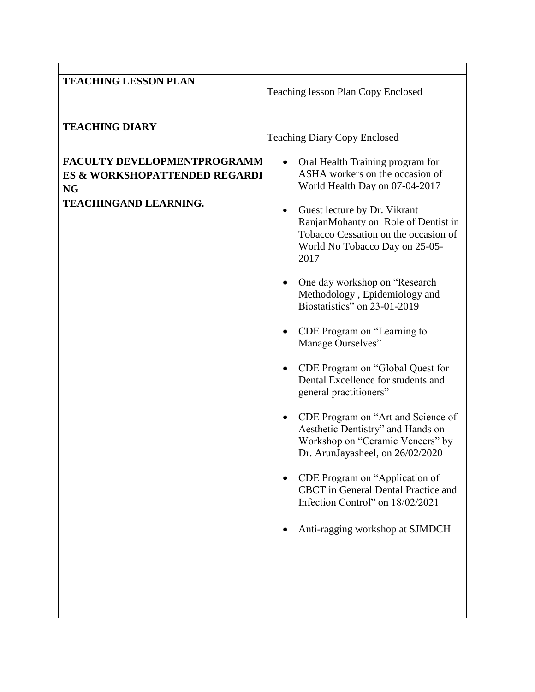| <b>TEACHING LESSON PLAN</b>                                                                               | <b>Teaching lesson Plan Copy Enclosed</b>                                                                                                                                                                                                                                                                                                                                                                                                                                                                                                                                                                                                                                                                                                                                                                                                                     |
|-----------------------------------------------------------------------------------------------------------|---------------------------------------------------------------------------------------------------------------------------------------------------------------------------------------------------------------------------------------------------------------------------------------------------------------------------------------------------------------------------------------------------------------------------------------------------------------------------------------------------------------------------------------------------------------------------------------------------------------------------------------------------------------------------------------------------------------------------------------------------------------------------------------------------------------------------------------------------------------|
| <b>TEACHING DIARY</b>                                                                                     | <b>Teaching Diary Copy Enclosed</b>                                                                                                                                                                                                                                                                                                                                                                                                                                                                                                                                                                                                                                                                                                                                                                                                                           |
| FACULTY DEVELOPMENTPROGRAMM<br>ES & WORKSHOPATTENDED REGARDI<br><b>NG</b><br><b>TEACHINGAND LEARNING.</b> | Oral Health Training program for<br>$\bullet$<br>ASHA workers on the occasion of<br>World Health Day on 07-04-2017<br>Guest lecture by Dr. Vikrant<br>$\bullet$<br>RanjanMohanty on Role of Dentist in<br>Tobacco Cessation on the occasion of<br>World No Tobacco Day on 25-05-<br>2017<br>One day workshop on "Research"<br>Methodology, Epidemiology and<br>Biostatistics" on 23-01-2019<br>CDE Program on "Learning to<br>Manage Ourselves"<br>CDE Program on "Global Quest for<br>Dental Excellence for students and<br>general practitioners"<br>CDE Program on "Art and Science of<br>Aesthetic Dentistry" and Hands on<br>Workshop on "Ceramic Veneers" by<br>Dr. ArunJayasheel, on 26/02/2020<br>CDE Program on "Application of<br><b>CBCT</b> in General Dental Practice and<br>Infection Control" on 18/02/2021<br>Anti-ragging workshop at SJMDCH |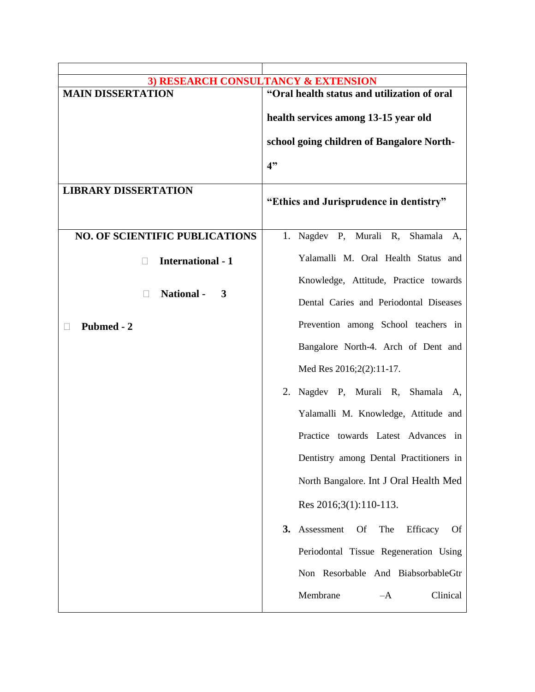| 3) RESEARCH CONSULTANCY & EXTENSION   |                                                               |
|---------------------------------------|---------------------------------------------------------------|
| <b>MAIN DISSERTATION</b>              | "Oral health status and utilization of oral                   |
|                                       |                                                               |
|                                       | health services among 13-15 year old                          |
|                                       | school going children of Bangalore North-                     |
|                                       |                                                               |
|                                       | 4"                                                            |
|                                       |                                                               |
| <b>LIBRARY DISSERTATION</b>           | "Ethics and Jurisprudence in dentistry"                       |
|                                       |                                                               |
|                                       |                                                               |
| <b>NO. OF SCIENTIFIC PUBLICATIONS</b> | 1. Nagdev P, Murali R, Shamala A,                             |
| <b>International - 1</b>              | Yalamalli M. Oral Health Status and                           |
|                                       |                                                               |
| <b>National -</b>                     | Knowledge, Attitude, Practice towards                         |
| 3                                     | Dental Caries and Periodontal Diseases                        |
| <b>Pubmed - 2</b>                     | Prevention among School teachers in                           |
|                                       | Bangalore North-4. Arch of Dent and                           |
|                                       | Med Res 2016;2(2):11-17.                                      |
|                                       | 2. Nagdev P, Murali R, Shamala A,                             |
|                                       | Yalamalli M. Knowledge, Attitude and                          |
|                                       | Practice towards Latest Advances in                           |
|                                       | Dentistry among Dental Practitioners in                       |
|                                       | North Bangalore. Int J Oral Health Med                        |
|                                       | Res 2016;3(1):110-113.                                        |
|                                       | 3.<br>Assessment<br>The<br><b>Of</b><br>Efficacy<br><b>Of</b> |
|                                       | Periodontal Tissue Regeneration Using                         |
|                                       | Non Resorbable And BiabsorbableGtr                            |
|                                       |                                                               |
|                                       | Membrane<br>Clinical<br>$-A$                                  |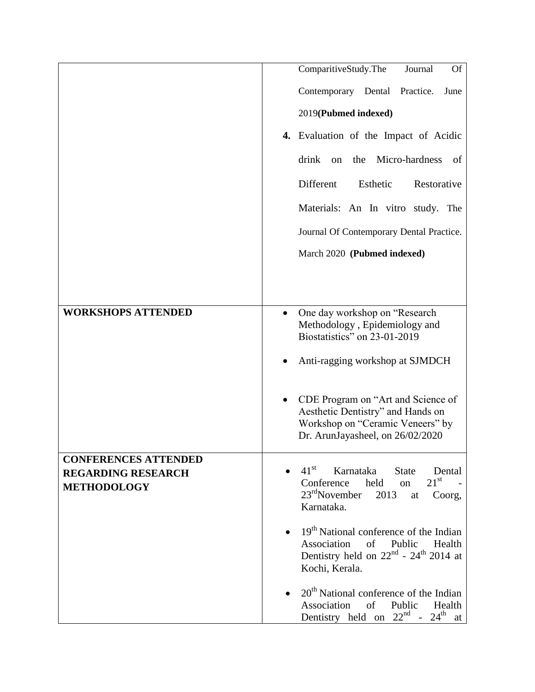|                             | ComparitiveStudy.The<br><b>Of</b><br>Journal                                                                                    |
|-----------------------------|---------------------------------------------------------------------------------------------------------------------------------|
|                             | Contemporary Dental<br>Practice.<br>June                                                                                        |
|                             | 2019(Pubmed indexed)                                                                                                            |
|                             | 4. Evaluation of the Impact of Acidic                                                                                           |
|                             | Micro-hardness<br>drink<br>the<br>of<br>on                                                                                      |
|                             | Different<br>Esthetic<br>Restorative                                                                                            |
|                             | Materials: An In vitro study. The                                                                                               |
|                             | Journal Of Contemporary Dental Practice.                                                                                        |
|                             | March 2020 (Pubmed indexed)                                                                                                     |
|                             |                                                                                                                                 |
|                             |                                                                                                                                 |
| <b>WORKSHOPS ATTENDED</b>   | One day workshop on "Research"<br>$\bullet$<br>Methodology, Epidemiology and                                                    |
|                             | Biostatistics" on 23-01-2019                                                                                                    |
|                             | Anti-ragging workshop at SJMDCH                                                                                                 |
|                             |                                                                                                                                 |
|                             | CDE Program on "Art and Science of<br>Aesthetic Dentistry" and Hands on                                                         |
|                             | Workshop on "Ceramic Veneers" by<br>Dr. ArunJayasheel, on 26/02/2020                                                            |
| <b>CONFERENCES ATTENDED</b> |                                                                                                                                 |
| <b>REGARDING RESEARCH</b>   | $41^{\rm st}$<br>Karnataka<br><b>State</b><br>Dental                                                                            |
| <b>METHODOLOGY</b>          | $21^{\rm st}$<br>Conference held<br>on<br>$23rd$ November<br>2013<br>Coorg,<br>at<br>Karnataka.                                 |
|                             | $19th$ National conference of the Indian                                                                                        |
|                             | Association<br>of<br>Public<br>Health<br>Dentistry held on $22nd$ - $24th$ 2014 at<br>Kochi, Kerala.                            |
|                             | $20th$ National conference of the Indian<br>Association<br>Public<br>of<br>Health<br>Dentistry held on $22^{nd}$ - $24^{th}$ at |